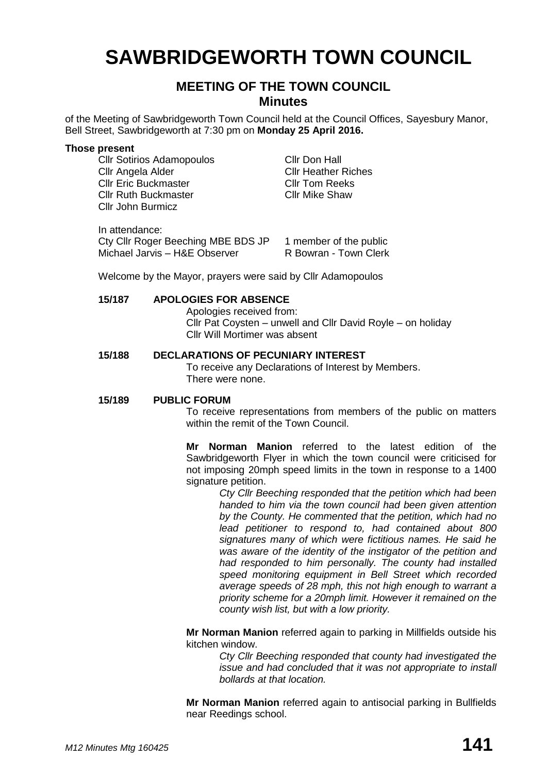# **SAWBRIDGEWORTH TOWN COUNCIL**

### **MEETING OF THE TOWN COUNCIL Minutes**

of the Meeting of Sawbridgeworth Town Council held at the Council Offices, Sayesbury Manor, Bell Street, Sawbridgeworth at 7:30 pm on **Monday 25 April 2016.**

#### **Those present**

Cllr Sotirios Adamopoulos Cllr Don Hall Cllr Eric Buckmaster Cllr Tom Reeks Cllr Ruth Buckmaster Cllr Mike Shaw Cllr John Burmicz

Cllr Heather Riches

In attendance:

| awuraanvo.                         |                        |
|------------------------------------|------------------------|
| Cty Cllr Roger Beeching MBE BDS JP | 1 member of the public |
| Michael Jarvis – H&E Observer      | R Bowran - Town Clerk  |

Welcome by the Mayor, prayers were said by Cllr Adamopoulos

#### **15/187 APOLOGIES FOR ABSENCE**

Apologies received from: Cllr Pat Coysten – unwell and Cllr David Royle – on holiday Cllr Will Mortimer was absent

#### **15/188 DECLARATIONS OF PECUNIARY INTEREST**

To receive any Declarations of Interest by Members. There were none.

#### **15/189 PUBLIC FORUM**

To receive representations from members of the public on matters within the remit of the Town Council.

**Mr Norman Manion** referred to the latest edition of the Sawbridgeworth Flyer in which the town council were criticised for not imposing 20mph speed limits in the town in response to a 1400 signature petition.

> *Cty Cllr Beeching responded that the petition which had been handed to him via the town council had been given attention by the County. He commented that the petition, which had no lead petitioner to respond to, had contained about 800 signatures many of which were fictitious names. He said he was aware of the identity of the instigator of the petition and had responded to him personally. The county had installed speed monitoring equipment in Bell Street which recorded average speeds of 28 mph, this not high enough to warrant a priority scheme for a 20mph limit. However it remained on the county wish list, but with a low priority.*

**Mr Norman Manion** referred again to parking in Millfields outside his kitchen window.

> *Cty Cllr Beeching responded that county had investigated the issue and had concluded that it was not appropriate to install bollards at that location.*

**Mr Norman Manion** referred again to antisocial parking in Bullfields near Reedings school.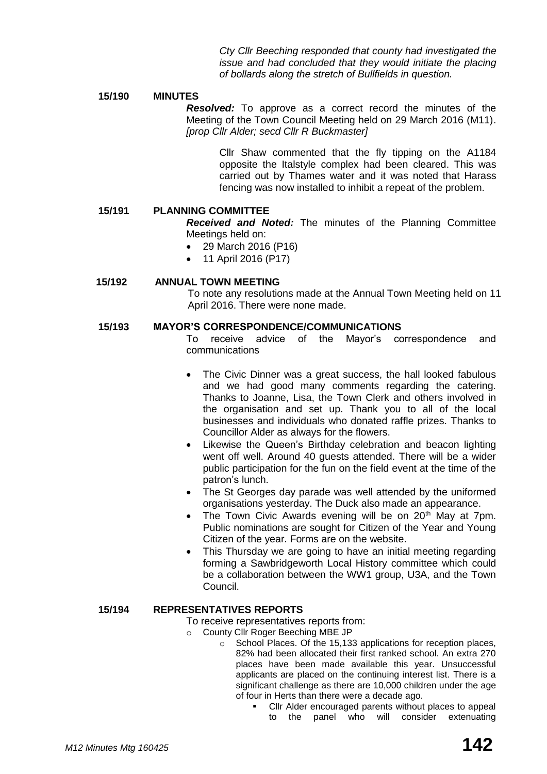*Cty Cllr Beeching responded that county had investigated the issue and had concluded that they would initiate the placing of bollards along the stretch of Bullfields in question.*

#### **15/190 MINUTES**

*Resolved:* To approve as a correct record the minutes of the Meeting of the Town Council Meeting held on 29 March 2016 (M11). *[prop Cllr Alder; secd Cllr R Buckmaster]*

> Cllr Shaw commented that the fly tipping on the A1184 opposite the Italstyle complex had been cleared. This was carried out by Thames water and it was noted that Harass fencing was now installed to inhibit a repeat of the problem.

#### **15/191 PLANNING COMMITTEE**

*Received and Noted:* The minutes of the Planning Committee Meetings held on:

- 29 March 2016 (P16)
- 11 April 2016 (P17)

#### **15/192 ANNUAL TOWN MEETING**

To note any resolutions made at the Annual Town Meeting held on 11 April 2016. There were none made.

#### **15/193 MAYOR'S CORRESPONDENCE/COMMUNICATIONS**

To receive advice of the Mayor's correspondence and communications

- The Civic Dinner was a great success, the hall looked fabulous and we had good many comments regarding the catering. Thanks to Joanne, Lisa, the Town Clerk and others involved in the organisation and set up. Thank you to all of the local businesses and individuals who donated raffle prizes. Thanks to Councillor Alder as always for the flowers.
- Likewise the Queen's Birthday celebration and beacon lighting went off well. Around 40 guests attended. There will be a wider public participation for the fun on the field event at the time of the patron's lunch.
- The St Georges day parade was well attended by the uniformed organisations yesterday. The Duck also made an appearance.
- The Town Civic Awards evening will be on 20<sup>th</sup> May at 7pm. Public nominations are sought for Citizen of the Year and Young Citizen of the year. Forms are on the website.
- This Thursday we are going to have an initial meeting regarding forming a Sawbridgeworth Local History committee which could be a collaboration between the WW1 group, U3A, and the Town Council.

#### **15/194 REPRESENTATIVES REPORTS**

- To receive representatives reports from:
- o County Cllr Roger Beeching MBE JP
	- o School Places. Of the 15,133 applications for reception places, 82% had been allocated their first ranked school. An extra 270 places have been made available this year. Unsuccessful applicants are placed on the continuing interest list. There is a significant challenge as there are 10,000 children under the age of four in Herts than there were a decade ago.
		- Cllr Alder encouraged parents without places to appeal to the panel who will consider extenuating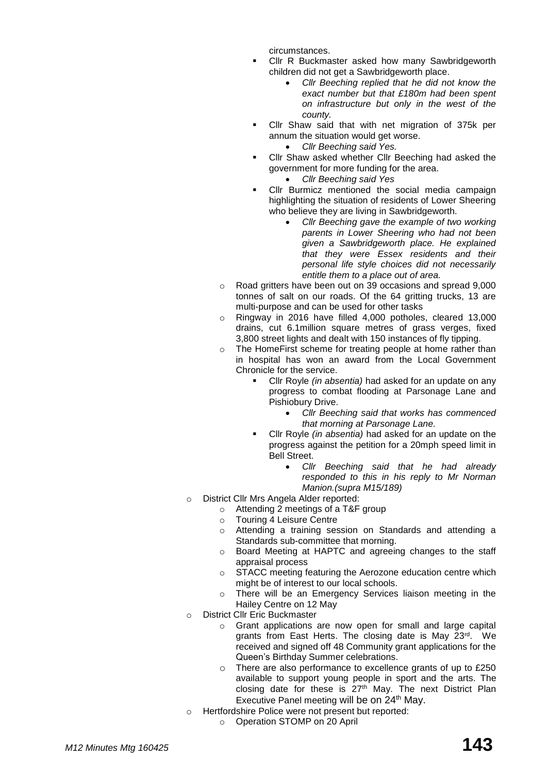circumstances.

- Cllr R Buckmaster asked how many Sawbridgeworth children did not get a Sawbridgeworth place.
	- *Cllr Beeching replied that he did not know the exact number but that £180m had been spent on infrastructure but only in the west of the county.*
- Cllr Shaw said that with net migration of 375k per annum the situation would get worse.
	- *Cllr Beeching said Yes.*
- Cllr Shaw asked whether Cllr Beeching had asked the government for more funding for the area.
	- *Cllr Beeching said Yes*
- Cllr Burmicz mentioned the social media campaign highlighting the situation of residents of Lower Sheering who believe they are living in Sawbridgeworth.
	- *Cllr Beeching gave the example of two working parents in Lower Sheering who had not been given a Sawbridgeworth place. He explained that they were Essex residents and their personal life style choices did not necessarily entitle them to a place out of area.*
- o Road gritters have been out on 39 occasions and spread 9,000 tonnes of salt on our roads. Of the 64 gritting trucks, 13 are multi-purpose and can be used for other tasks
- o Ringway in 2016 have filled 4,000 potholes, cleared 13,000 drains, cut 6.1million square metres of grass verges, fixed 3,800 street lights and dealt with 150 instances of fly tipping.
- o The HomeFirst scheme for treating people at home rather than in hospital has won an award from the Local Government Chronicle for the service.
	- Cllr Royle *(in absentia)* had asked for an update on any progress to combat flooding at Parsonage Lane and Pishiobury Drive.
		- *Cllr Beeching said that works has commenced that morning at Parsonage Lane.*
	- Cllr Royle *(in absentia)* had asked for an update on the progress against the petition for a 20mph speed limit in Bell Street.
		- *Cllr Beeching said that he had already responded to this in his reply to Mr Norman Manion.(supra M15/189)*
- o District Cllr Mrs Angela Alder reported:
	- o Attending 2 meetings of a T&F group
	- o Touring 4 Leisure Centre<br>
	o Attending a training ses
	- Attending a training session on Standards and attending a Standards sub-committee that morning.
	- o Board Meeting at HAPTC and agreeing changes to the staff appraisal process
	- o STACC meeting featuring the Aerozone education centre which might be of interest to our local schools.
	- o There will be an Emergency Services liaison meeting in the Hailey Centre on 12 May
- o District Cllr Eric Buckmaster
	- o Grant applications are now open for small and large capital grants from East Herts. The closing date is May 23rd. We received and signed off 48 Community grant applications for the Queen's Birthday Summer celebrations.
	- o There are also performance to excellence grants of up to £250 available to support young people in sport and the arts. The closing date for these is 27<sup>th</sup> May. The next District Plan Executive Panel meeting will be on 24<sup>th</sup> May.
- o Hertfordshire Police were not present but reported:
	- o Operation STOMP on 20 April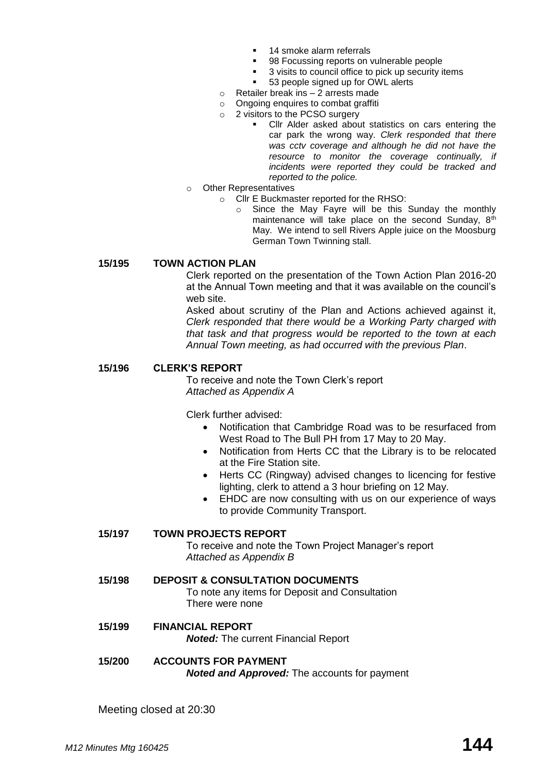- 14 smoke alarm referrals
- 98 Focussing reports on vulnerable people
- 3 visits to council office to pick up security items
- 53 people signed up for OWL alerts
- $\circ$  Retailer break ins 2 arrests made
- o Ongoing enquires to combat graffiti
- o 2 visitors to the PCSO surgery
	- Cllr Alder asked about statistics on cars entering the car park the wrong way. *Clerk responded that there was cctv coverage and although he did not have the resource to monitor the coverage continually, if incidents were reported they could be tracked and reported to the police.*
- o Other Representatives
	- o Cllr E Buckmaster reported for the RHSO:
		- o Since the May Fayre will be this Sunday the monthly maintenance will take place on the second Sunday, 8th May. We intend to sell Rivers Apple juice on the Moosburg German Town Twinning stall.

#### **15/195 TOWN ACTION PLAN**

Clerk reported on the presentation of the Town Action Plan 2016-20 at the Annual Town meeting and that it was available on the council's web site.

Asked about scrutiny of the Plan and Actions achieved against it, *Clerk responded that there would be a Working Party charged with that task and that progress would be reported to the town at each Annual Town meeting, as had occurred with the previous Plan*.

#### **15/196 CLERK'S REPORT**

To receive and note the Town Clerk's report *Attached as Appendix A*

Clerk further advised:

- Notification that Cambridge Road was to be resurfaced from West Road to The Bull PH from 17 May to 20 May.
- Notification from Herts CC that the Library is to be relocated at the Fire Station site.
- Herts CC (Ringway) advised changes to licencing for festive lighting, clerk to attend a 3 hour briefing on 12 May.
- EHDC are now consulting with us on our experience of ways to provide Community Transport.

#### **15/197 TOWN PROJECTS REPORT**

To receive and note the Town Project Manager's report *Attached as Appendix B*

- **15/198 DEPOSIT & CONSULTATION DOCUMENTS** To note any items for Deposit and Consultation There were none
- **15/199 FINANCIAL REPORT** *Noted:* The current Financial Report
- **15/200 ACCOUNTS FOR PAYMENT** *Noted and Approved:* The accounts for payment

Meeting closed at 20:30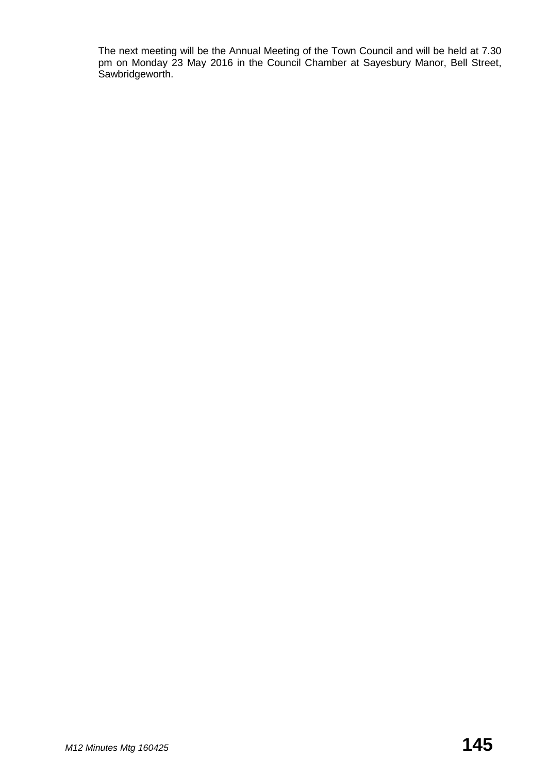The next meeting will be the Annual Meeting of the Town Council and will be held at 7.30 pm on Monday 23 May 2016 in the Council Chamber at Sayesbury Manor, Bell Street, Sawbridgeworth.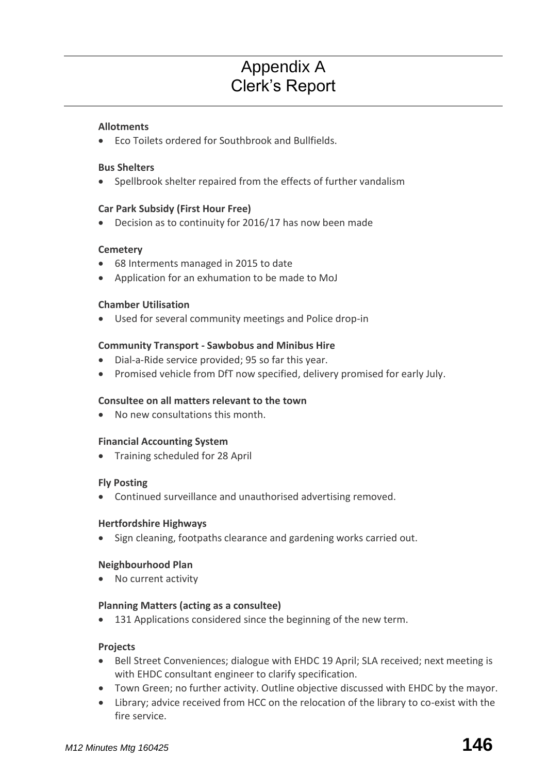### Appendix A Clerk's Report

#### **[Allotments](http://www.sawbridgeworth-tc.gov.uk/town-information/town-council-services/allotments)**

Eco Toilets ordered for Southbrook and Bullfields.

#### **Bus Shelters**

Spellbrook shelter repaired from the effects of further vandalism

#### **Car Park Subsidy (First Hour Free)**

Decision as to continuity for 2016/17 has now been made

#### **[Cemetery](http://www.sawbridgeworth-tc.gov.uk/town-information/town-council-services/cemetery)**

- 68 Interments managed in 2015 to date
- Application for an exhumation to be made to MoJ

#### **Chamber Utilisation**

Used for several community meetings and Police drop-in

#### **Community Transport - [Sawbobus](http://www.sawbridgeworth-tc.gov.uk/town-information/town-council-services/sawbobus) an[d Minibus Hire](http://www.sawbridgeworth-tc.gov.uk/town-information/town-council-services/minibus-hire)**

- Dial-a-Ride service provided; 95 so far this year.
- Promised vehicle from DfT now specified, delivery promised for early July.

#### **Consultee on all matters relevant to the town**

No new consultations this month.

#### **Financial Accounting System**

• Training scheduled for 28 April

#### **Fly Posting**

Continued surveillance and unauthorised advertising removed.

#### **Hertfordshire Highways**

• Sign cleaning, footpaths clearance and gardening works carried out.

#### **Neighbourhood Plan**

No current activity

#### **[Planning Matters \(acting as a consultee\)](http://www.sawbridgeworth-tc.gov.uk/town-council/planning)**

131 Applications considered since the beginning of the new term.

#### **Projects**

- Bell Street Conveniences; dialogue with EHDC 19 April; SLA received; next meeting is with EHDC consultant engineer to clarify specification.
- Town Green; no further activity. Outline objective discussed with EHDC by the mayor.
- Library; advice received from HCC on the relocation of the library to co-exist with the fire service.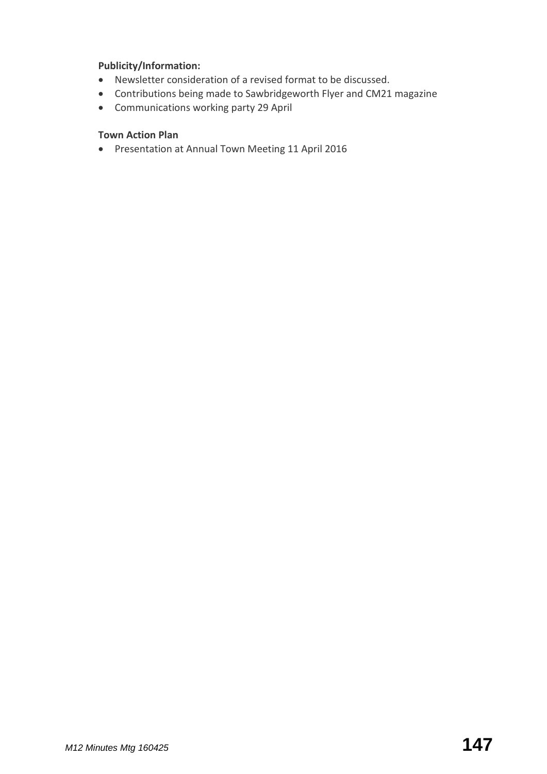#### **Publicity/Information:**

- Newsletter consideration of a revised format to be discussed.
- Contributions being made to Sawbridgeworth Flyer and CM21 magazine
- Communications working party 29 April

#### **Town Action Plan**

Presentation at Annual Town Meeting 11 April 2016